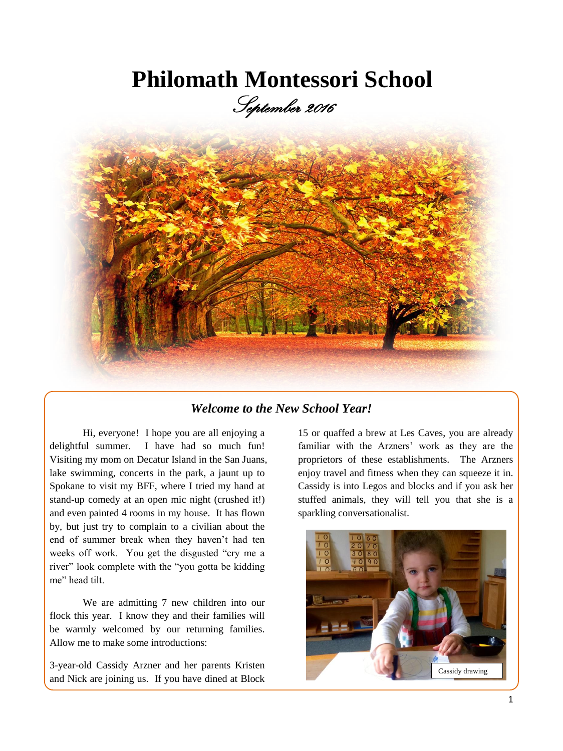# **Philomath Montessori School**

September 2016



### *Welcome to the New School Year!*

Hi, everyone! I hope you are all enjoying a delightful summer. I have had so much fun! Visiting my mom on Decatur Island in the San Juans, lake swimming, concerts in the park, a jaunt up to Spokane to visit my BFF, where I tried my hand at stand-up comedy at an open mic night (crushed it!) and even painted 4 rooms in my house. It has flown by, but just try to complain to a civilian about the end of summer break when they haven't had ten weeks off work. You get the disgusted "cry me a river" look complete with the "you gotta be kidding me" head tilt.

We are admitting 7 new children into our flock this year. I know they and their families will be warmly welcomed by our returning families. Allow me to make some introductions:

3-year-old Cassidy Arzner and her parents Kristen and Nick are joining us. If you have dined at Block

15 or quaffed a brew at Les Caves, you are already familiar with the Arzners' work as they are the proprietors of these establishments. The Arzners enjoy travel and fitness when they can squeeze it in. Cassidy is into Legos and blocks and if you ask her stuffed animals, they will tell you that she is a sparkling conversationalist.

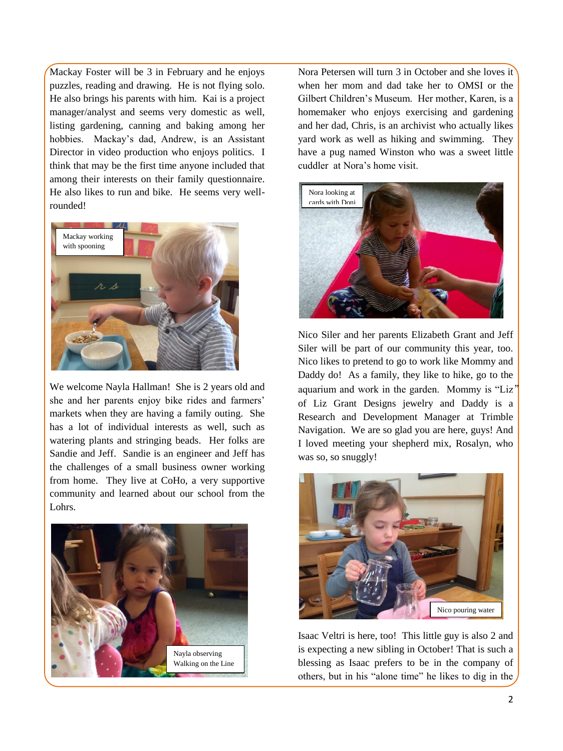Mackay Foster will be 3 in February and he enjoys puzzles, reading and drawing. He is not flying solo. He also brings his parents with him. Kai is a project manager/analyst and seems very domestic as well, listing gardening, canning and baking among her hobbies. Mackay's dad, Andrew, is an Assistant Director in video production who enjoys politics. I think that may be the first time anyone included that among their interests on their family questionnaire. He also likes to run and bike. He seems very wellrounded!



We welcome Nayla Hallman! She is 2 years old and she and her parents enjoy bike rides and farmers' markets when they are having a family outing. She has a lot of individual interests as well, such as watering plants and stringing beads. Her folks are Sandie and Jeff. Sandie is an engineer and Jeff has the challenges of a small business owner working from home. They live at CoHo, a very supportive community and learned about our school from the Lohrs.



Nora Petersen will turn 3 in October and she loves it when her mom and dad take her to OMSI or the Gilbert Children's Museum. Her mother, Karen, is a homemaker who enjoys exercising and gardening and her dad, Chris, is an archivist who actually likes yard work as well as hiking and swimming. They have a pug named Winston who was a sweet little cuddler at Nora's home visit.



Nico Siler and her parents Elizabeth Grant and Jeff Siler will be part of our community this year, too. Nico likes to pretend to go to work like Mommy and Daddy do! As a family, they like to hike, go to the aquarium and work in the garden. Mommy is "Liz" of Liz Grant Designs jewelry and Daddy is a Research and Development Manager at Trimble Navigation. We are so glad you are here, guys! And I loved meeting your shepherd mix, Rosalyn, who was so, so snuggly!



Isaac Veltri is here, too! This little guy is also 2 and is expecting a new sibling in October! That is such a blessing as Isaac prefers to be in the company of others, but in his "alone time" he likes to dig in the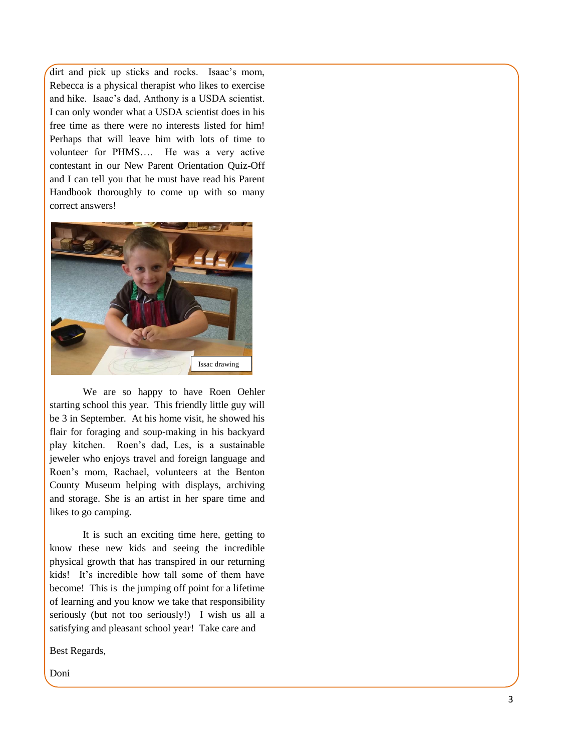dirt and pick up sticks and rocks. Isaac's mom, Rebecca is a physical therapist who likes to exercise and hike. Isaac's dad, Anthony is a USDA scientist. I can only wonder what a USDA scientist does in his free time as there were no interests listed for him! Perhaps that will leave him with lots of time to volunteer for PHMS…. He was a very active contestant in our New Parent Orientation Quiz-Off and I can tell you that he must have read his Parent Handbook thoroughly to come up with so many correct answers!



We are so happy to have Roen Oehler starting school this year. This friendly little guy will be 3 in September. At his home visit, he showed his flair for foraging and soup-making in his backyard play kitchen. Roen's dad, Les, is a sustainable jeweler who enjoys travel and foreign language and Roen's mom, Rachael, volunteers at the Benton County Museum helping with displays, archiving and storage. She is an artist in her spare time and likes to go camping.

It is such an exciting time here, getting to know these new kids and seeing the incredible physical growth that has transpired in our returning kids! It's incredible how tall some of them have become! This is the jumping off point for a lifetime of learning and you know we take that responsibility seriously (but not too seriously!) I wish us all a satisfying and pleasant school year! Take care and

Best Regards,

Doni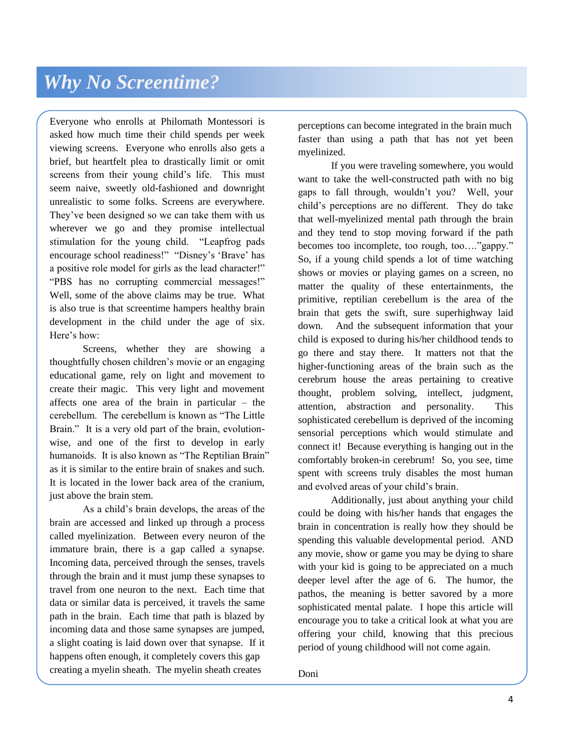Everyone who enrolls at Philomath Montessori is asked how much time their child spends per week viewing screens. Everyone who enrolls also gets a brief, but heartfelt plea to drastically limit or omit screens from their young child's life. This must seem naive, sweetly old-fashioned and downright unrealistic to some folks. Screens are everywhere. They've been designed so we can take them with us wherever we go and they promise intellectual stimulation for the young child. "Leapfrog pads encourage school readiness!" "Disney's 'Brave' has a positive role model for girls as the lead character!" "PBS has no corrupting commercial messages!" Well, some of the above claims may be true. What is also true is that screentime hampers healthy brain development in the child under the age of six. Here's how:

Screens, whether they are showing a thoughtfully chosen children's movie or an engaging educational game, rely on light and movement to create their magic. This very light and movement affects one area of the brain in particular – the cerebellum. The cerebellum is known as "The Little Brain." It is a very old part of the brain, evolutionwise, and one of the first to develop in early humanoids. It is also known as "The Reptilian Brain" as it is similar to the entire brain of snakes and such. It is located in the lower back area of the cranium, just above the brain stem.

As a child's brain develops, the areas of the brain are accessed and linked up through a process called myelinization. Between every neuron of the immature brain, there is a gap called a synapse. Incoming data, perceived through the senses, travels through the brain and it must jump these synapses to travel from one neuron to the next. Each time that data or similar data is perceived, it travels the same path in the brain. Each time that path is blazed by incoming data and those same synapses are jumped, a slight coating is laid down over that synapse. If it happens often enough, it completely covers this gap creating a myelin sheath. The myelin sheath creates

perceptions can become integrated in the brain much faster than using a path that has not yet been myelinized.

If you were traveling somewhere, you would want to take the well-constructed path with no big gaps to fall through, wouldn't you? Well, your child's perceptions are no different. They do take that well-myelinized mental path through the brain and they tend to stop moving forward if the path becomes too incomplete, too rough, too…."gappy." So, if a young child spends a lot of time watching shows or movies or playing games on a screen, no matter the quality of these entertainments, the primitive, reptilian cerebellum is the area of the brain that gets the swift, sure superhighway laid down. And the subsequent information that your child is exposed to during his/her childhood tends to go there and stay there. It matters not that the higher-functioning areas of the brain such as the cerebrum house the areas pertaining to creative thought, problem solving, intellect, judgment, attention, abstraction and personality. This sophisticated cerebellum is deprived of the incoming sensorial perceptions which would stimulate and connect it! Because everything is hanging out in the comfortably broken-in cerebrum! So, you see, time spent with screens truly disables the most human and evolved areas of your child's brain.

Additionally, just about anything your child could be doing with his/her hands that engages the brain in concentration is really how they should be spending this valuable developmental period. AND any movie, show or game you may be dying to share with your kid is going to be appreciated on a much deeper level after the age of 6. The humor, the pathos, the meaning is better savored by a more sophisticated mental palate. I hope this article will encourage you to take a critical look at what you are offering your child, knowing that this precious period of young childhood will not come again.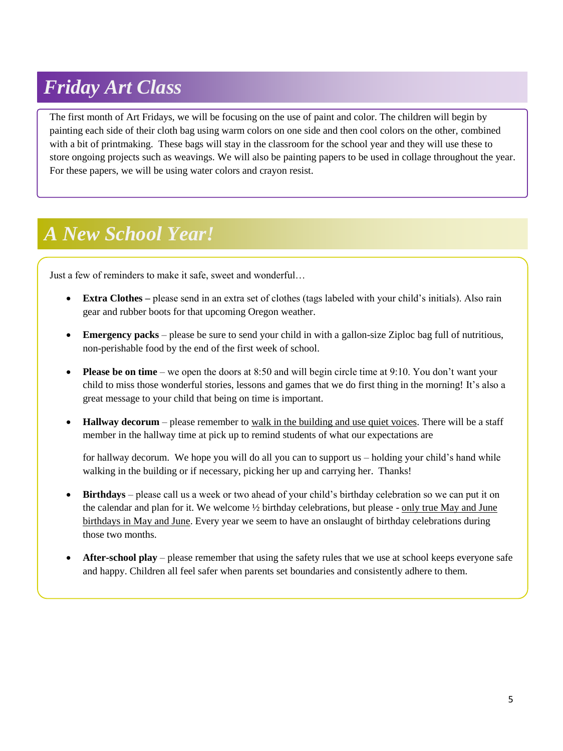### *Friday Art Class*

The first month of Art Fridays, we will be focusing on the use of paint and color. The children will begin by painting each side of their cloth bag using warm colors on one side and then cool colors on the other, combined with a bit of printmaking. These bags will stay in the classroom for the school year and they will use these to store ongoing projects such as weavings. We will also be painting papers to be used in collage throughout the year. For these papers, we will be using water colors and crayon resist.

## *A New School Year!*

l,

Just a few of reminders to make it safe, sweet and wonderful…

- **Extra Clothes –** please send in an extra set of clothes (tags labeled with your child's initials). Also rain gear and rubber boots for that upcoming Oregon weather.
- **Emergency packs** please be sure to send your child in with a gallon-size Ziploc bag full of nutritious, non-perishable food by the end of the first week of school.
- **Please be on time** we open the doors at 8:50 and will begin circle time at 9:10. You don't want your child to miss those wonderful stories, lessons and games that we do first thing in the morning! It's also a great message to your child that being on time is important.
- **Hallway decorum** please remember to walk in the building and use quiet voices. There will be a staff member in the hallway time at pick up to remind students of what our expectations are

for hallway decorum. We hope you will do all you can to support us – holding your child's hand while walking in the building or if necessary, picking her up and carrying her. Thanks!

- **Birthdays** please call us a week or two ahead of your child's birthday celebration so we can put it on the calendar and plan for it. We welcome ½ birthday celebrations, but please - only true May and June birthdays in May and June. Every year we seem to have an onslaught of birthday celebrations during those two months.
- **After-school play** please remember that using the safety rules that we use at school keeps everyone safe and happy. Children all feel safer when parents set boundaries and consistently adhere to them.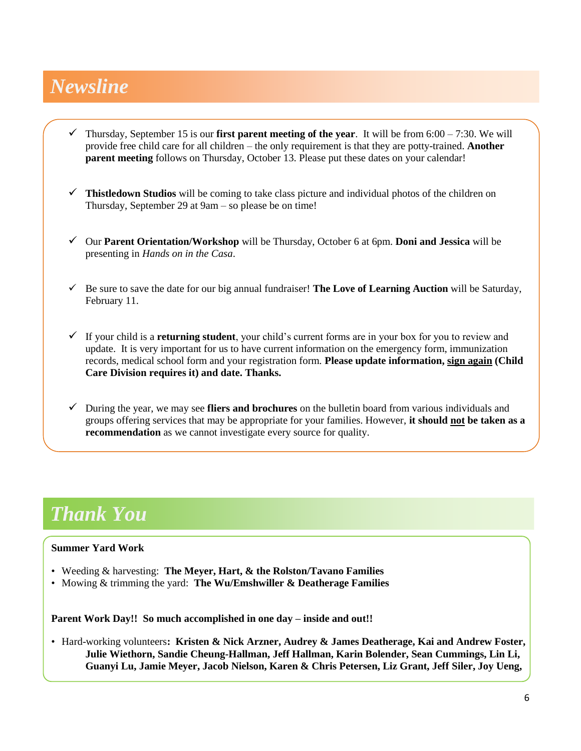### *Newsline*

- Thursday, September 15 is our **first parent meeting of the year**. It will be from  $6:00 7:30$ . We will provide free child care for all children – the only requirement is that they are potty-trained. **Another parent meeting** follows on Thursday, October 13. Please put these dates on your calendar!
- **Thistledown Studios** will be coming to take class picture and individual photos of the children on Thursday, September 29 at 9am – so please be on time!
- Our **Parent Orientation/Workshop** will be Thursday, October 6 at 6pm. **Doni and Jessica** will be presenting in *Hands on in the Casa*.
- $\checkmark$  Be sure to save the date for our big annual fundraiser! **The Love of Learning Auction** will be Saturday, February 11.
- $\checkmark$  If your child is a **returning student**, your child's current forms are in your box for you to review and update. It is very important for us to have current information on the emergency form, immunization records, medical school form and your registration form. **Please update information, sign again (Child Care Division requires it) and date. Thanks.**
- During the year, we may see **fliers and brochures** on the bulletin board from various individuals and groups offering services that may be appropriate for your families. However, **it should not be taken as a recommendation** as we cannot investigate every source for quality.

### *Thank You*

#### **Summer Yard Work**

- Weeding & harvesting: **The Meyer, Hart, & the Rolston/Tavano Families**
- Mowing & trimming the yard: **The Wu/Emshwiller & Deatherage Families**

**Parent Work Day!! So much accomplished in one day – inside and out!!**

• Hard-working volunteers**: Kristen & Nick Arzner, Audrey & James Deatherage, Kai and Andrew Foster, Julie Wiethorn, Sandie Cheung-Hallman, Jeff Hallman, Karin Bolender, Sean Cummings, Lin Li, Guanyi Lu, Jamie Meyer, Jacob Nielson, Karen & Chris Petersen, Liz Grant, Jeff Siler, Joy Ueng,**